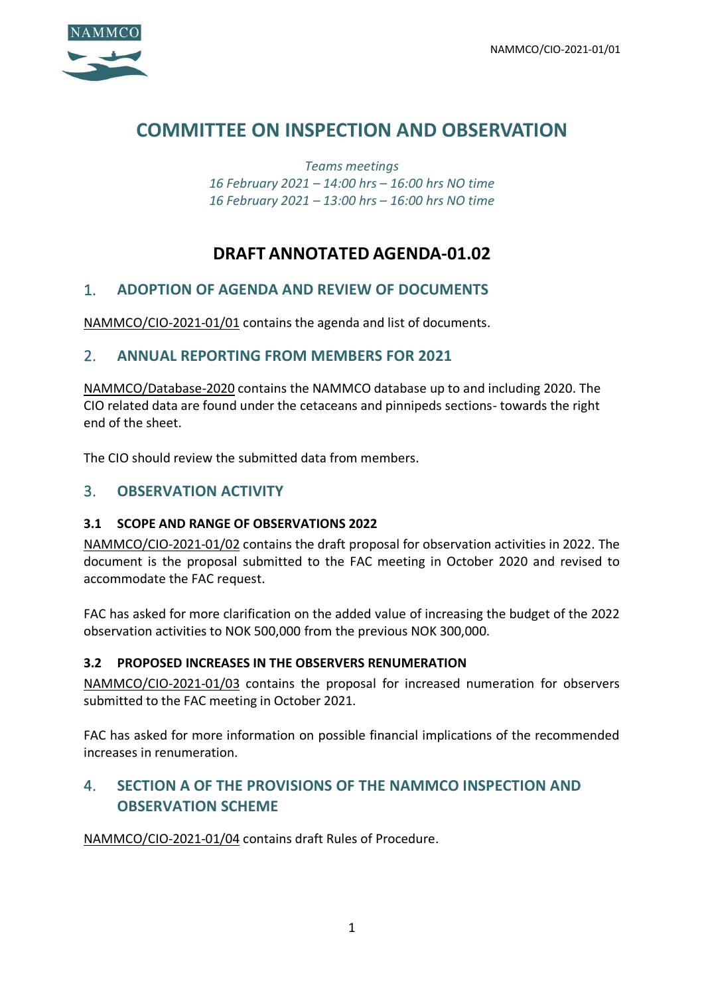

# **COMMITTEE ON INSPECTION AND OBSERVATION**

*Teams meetings 16 February 2021 – 14:00 hrs – 16:00 hrs NO time 16 February 2021 – 13:00 hrs – 16:00 hrs NO time*

# **DRAFT ANNOTATED AGENDA-01.02**

# 1. **ADOPTION OF AGENDA AND REVIEW OF DOCUMENTS**

NAMMCO/CIO-2021-01/01 contains the agenda and list of documents.

# 2. **ANNUAL REPORTING FROM MEMBERS FOR 2021**

NAMMCO/Database-2020 contains the NAMMCO database up to and including 2020. The CIO related data are found under the cetaceans and pinnipeds sections- towards the right end of the sheet.

The CIO should review the submitted data from members.

# 3. **OBSERVATION ACTIVITY**

### **3.1 SCOPE AND RANGE OF OBSERVATIONS 2022**

NAMMCO/CIO-2021-01/02 contains the draft proposal for observation activities in 2022. The document is the proposal submitted to the FAC meeting in October 2020 and revised to accommodate the FAC request.

FAC has asked for more clarification on the added value of increasing the budget of the 2022 observation activities to NOK 500,000 from the previous NOK 300,000.

### **3.2 PROPOSED INCREASES IN THE OBSERVERS RENUMERATION**

NAMMCO/CIO-2021-01/03 contains the proposal for increased numeration for observers submitted to the FAC meeting in October 2021.

FAC has asked for more information on possible financial implications of the recommended increases in renumeration.

# 4. **SECTION A OF THE PROVISIONS OF THE NAMMCO INSPECTION AND OBSERVATION SCHEME**

NAMMCO/CIO-2021-01/04 contains draft Rules of Procedure.